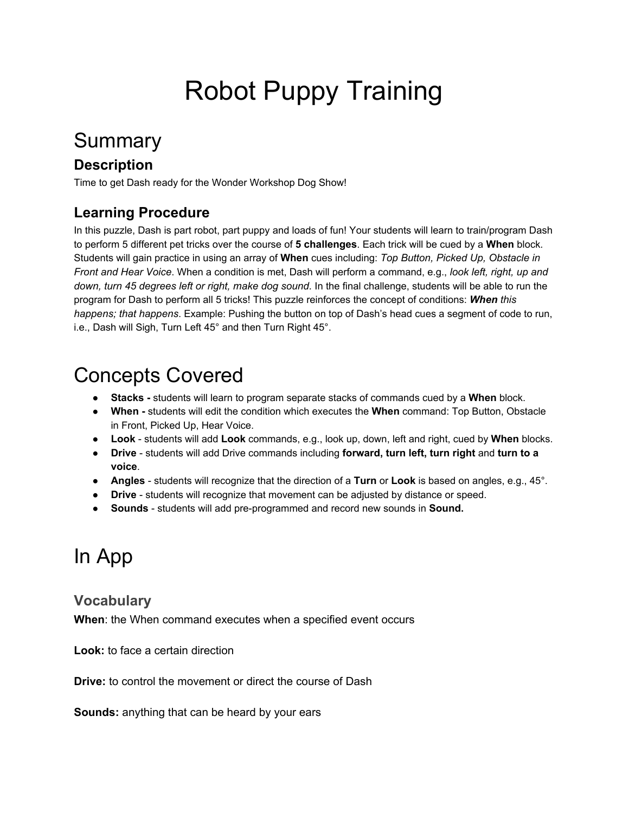# Robot Puppy Training

# Summary

### **Description**

Time to get Dash ready for the Wonder Workshop Dog Show!

### **Learning Procedure**

In this puzzle, Dash is part robot, part puppy and loads of fun! Your students will learn to train/program Dash to perform 5 different pet tricks over the course of **5 challenges**. Each trick will be cued by a **When** block. Students will gain practice in using an array of **When** cues including: *Top Button, Picked Up, Obstacle in Front and Hear Voice*. When a condition is met, Dash will perform a command, e.g., *look left, right, up and down, turn 45 degrees left or right, make dog sound.* In the final challenge, students will be able to run the program for Dash to perform all 5 tricks! This puzzle reinforces the concept of conditions: *When this happens; that happens*. Example: Pushing the button on top of Dash's head cues a segment of code to run, i.e., Dash will Sigh, Turn Left 45° and then Turn Right 45°.

# Concepts Covered

- **Stacks** students will learn to program separate stacks of commands cued by a **When** block.
- **When** students will edit the condition which executes the **When** command: Top Button, Obstacle in Front, Picked Up, Hear Voice.
- **Look** students will add **Look** commands, e.g., look up, down, left and right, cued by **When** blocks.
- **Drive** students will add Drive commands including **forward, turn left, turn right** and **turn to a voice**.
- **Angles** students will recognize that the direction of a **Turn** or **Look** is based on angles, e.g., 45°.
- **Drive** students will recognize that movement can be adjusted by distance or speed.
- **Sounds** students will add pre-programmed and record new sounds in **Sound.**

# In App

### **Vocabulary**

**When**: the When command executes when a specified event occurs

**Look:** to face a certain direction

**Drive:** to control the movement or direct the course of Dash

**Sounds:** anything that can be heard by your ears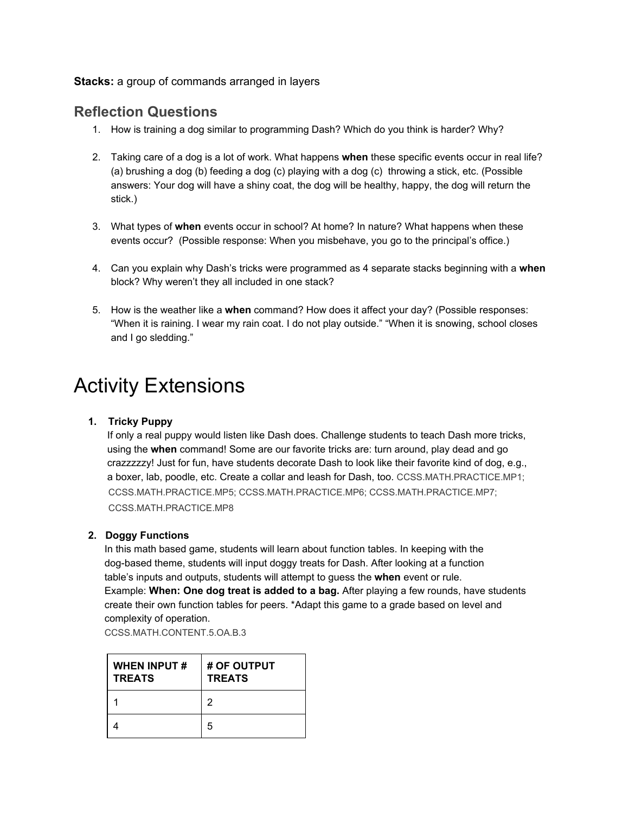**Stacks:** a group of commands arranged in layers

### **Reflection Questions**

- 1. How is training a dog similar to programming Dash? Which do you think is harder? Why?
- 2. Taking care of a dog is a lot of work. What happens **when** these specific events occur in real life? (a) brushing a dog (b) feeding a dog (c) playing with a dog (c) throwing a stick, etc. (Possible answers: Your dog will have a shiny coat, the dog will be healthy, happy, the dog will return the stick.)
- 3. What types of **when** events occur in school? At home? In nature? What happens when these events occur? (Possible response: When you misbehave, you go to the principal's office.)
- 4. Can you explain why Dash's tricks were programmed as 4 separate stacks beginning with a **when** block? Why weren't they all included in one stack?
- 5. How is the weather like a **when** command? How does it affect your day? (Possible responses: "When it is raining. I wear my rain coat. I do not play outside." "When it is snowing, school closes and I go sledding."

# Activity Extensions

 **1. Tricky Puppy** 

 If only a real puppy would listen like Dash does. Challenge students to teach Dash more tricks, using the **when** command! Some are our favorite tricks are: turn around, play dead and go crazzzzzy! Just for fun, have students decorate Dash to look like their favorite kind of dog, e.g., a boxer, lab, poodle, etc. Create a collar and leash for Dash, too. [CCSS.MATH.PRACTICE.MP1;](http://www.corestandards.org/Math/Practice/#CCSS.Math.Practice.MP1) [CCSS.MATH.PRACTICE.MP5;](http://www.corestandards.org/Math/Practice/MP5/) [CCSS.MATH.PRACTICE.MP6;](http://www.corestandards.org/Math/Practice/#CCSS.Math.Practice.MP6) [CCSS.MATH.PRACTICE.MP7;](http://www.corestandards.org/Math/Practice/#CCSS.Math.Practice.MP7) [CCSS.MATH.PRACTICE.MP8](http://www.corestandards.org/Math/Practice/#CCSS.Math.Practice.MP8) 

### **2. Doggy Functions**

 In this math based game, students will learn about function tables. In keeping with the dog-based theme, students will input doggy treats for Dash. After looking at a function table's inputs and outputs, students will attempt to guess the **when** event or rule. Example: **When: One dog treat is added to a bag.** After playing a few rounds, have students create their own function tables for peers. \*Adapt this game to a grade based on level and complexity of operation.

[CCSS.MATH.CONTENT.5.OA.B.3](http://www.corestandards.org/Math/Content/5/OA/B/3/)

| <b>WHEN INPUT#</b><br><b>TREATS</b> | # OF OUTPUT<br><b>TREATS</b> |
|-------------------------------------|------------------------------|
|                                     | 2                            |
|                                     | 5                            |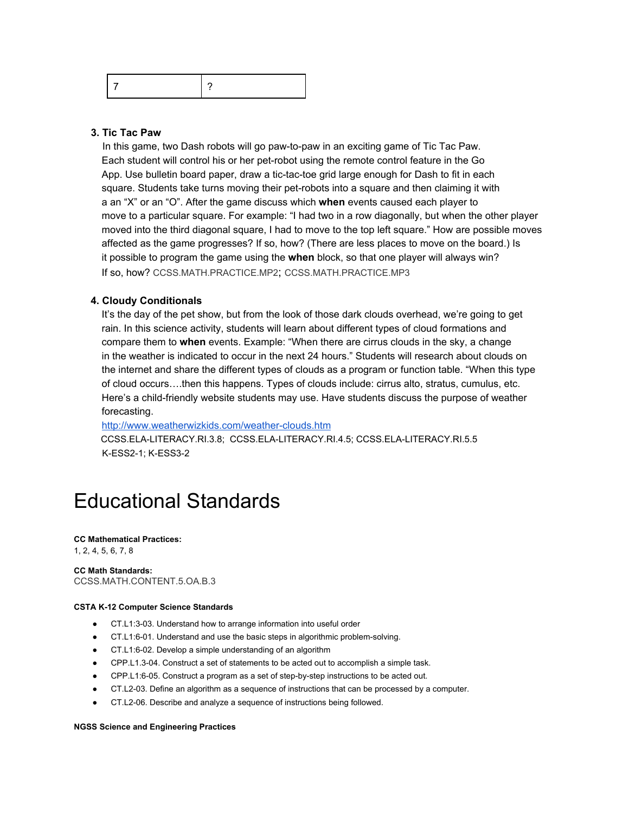|--|--|

### **3. Tic Tac Paw**

In this game, two Dash robots will go paw-to-paw in an exciting game of Tic Tac Paw. Each student will control his or her pet-robot using the remote control feature in the Go App. Use bulletin board paper, draw a tic-tac-toe grid large enough for Dash to fit in each square. Students take turns moving their pet-robots into a square and then claiming it with a an "X" or an "O". After the game discuss which **when** events caused each player to move to a particular square. For example: "I had two in a row diagonally, but when the other player moved into the third diagonal square, I had to move to the top left square." How are possible moves affected as the game progresses? If so, how? (There are less places to move on the board.) Is it possible to program the game using the **when** block, so that one player will always win? If so, how? [CCSS.MATH.PRACTICE.MP2](http://www.corestandards.org/Math/Practice/#CCSS.Math.Practice.MP2); [CCSS.MATH.PRACTICE.MP3](http://www.corestandards.org/Math/Practice/#CCSS.Math.Practice.MP3) 

#### **4. Cloudy Conditionals**

 It's the day of the pet show, but from the look of those dark clouds overhead, we're going to get rain. In this science activity, students will learn about different types of cloud formations and compare them to **when** events. Example: "When there are cirrus clouds in the sky, a change in the weather is indicated to occur in the next 24 hours." Students will research about clouds on the internet and share the different types of clouds as a program or function table. "When this type of cloud occurs….then this happens. Types of clouds include: cirrus alto, stratus, cumulus, etc. Here's a child-friendly website students may use. Have students discuss the purpose of weather forecasting.

 <http://www.weatherwizkids.com/weather-clouds.htm> [CCSS.ELA-LITERACY.RI.3.8;](http://www.corestandards.org/ELA-Literacy/RI/3/8/) [CCSS.ELA-LITERACY.RI.4.5;](http://www.corestandards.org/ELA-Literacy/RI/4/5/) [CCSS.ELA-LITERACY.RI.5.5](http://www.corestandards.org/ELA-Literacy/RI/5/5/) K-ESS2-1; [K-ESS3-2](http://www.nextgenscience.org/pe/k-ess3-2-earth-and-human-activity) 

## Educational Standards

#### **CC Mathematical Practices:**

1, 2, 4, 5, 6, 7, 8

**CC Math Standards:**  [CCSS.MATH.CONTENT.5.OA.B.3](http://www.corestandards.org/Math/Content/5/OA/B/3/)

#### **CSTA K-12 Computer Science Standards**

- CT.L1:3-03. Understand how to arrange information into useful order
- CT.L1:6-01. Understand and use the basic steps in algorithmic problem-solving.
- CT.L1:6-02. Develop a simple understanding of an algorithm
- CPP.L1.3-04. Construct a set of statements to be acted out to accomplish a simple task.
- CPP.L1:6-05. Construct a program as a set of step-by-step instructions to be acted out.
- CT.L2-03. Define an algorithm as a sequence of instructions that can be processed by a computer.
- CT.L2-06. Describe and analyze a sequence of instructions being followed.

#### **NGSS Science and Engineering Practices**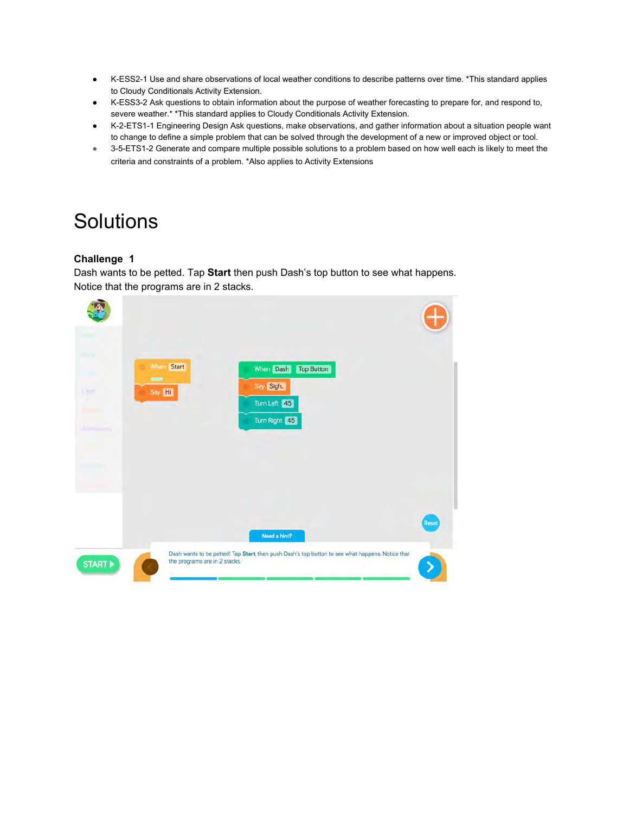- K-ESS2-1 Use and share observations of local weather conditions to describe patterns over time. \*This standard applies to Cloudy Conditionals Activity Extension.
- ● [K-ESS3-2 A](http://www.nextgenscience.org/pe/k-ess3-2-earth-and-human-activity)sk questions to obtain information about the purpose of weather forecasting to prepare for, and respond to, severe weather.\* \*This standard applies to Cloudy Conditionals Activity Extension.
- ● [K-2-ETS1-1 Engineering Design](http://www.nextgenscience.org/pe/k-2-ets1-1-engineering-design) Ask questions, make observations, and gather information about a situation people want to change to define a simple problem that can be solved through the development of a new or improved object or tool.
- 3-5-ETS1-2 Generate and compare multiple possible solutions to a problem based on how well each is likely to meet the criteria and constraints of a problem. \*Also applies to Activity Extensions

# **Solutions**

### **Challenge 1**

Dash wants to be petted. Tap **Start** then push Dash's top button to see what happens. Notice that the programs are in 2 stacks.

| Us.<br>Light<br><b>SHOW:</b><br><b>Contractor</b> | When Start<br>٠<br>When Dash<br>Top Button<br>$\qquad \qquad$<br>Say Sigh.<br>Say Hi<br>Turn Left 45<br>Turn Right 45             |              |
|---------------------------------------------------|-----------------------------------------------------------------------------------------------------------------------------------|--------------|
| <b>WELFERSHIPPER</b><br>الأرادين ويتبار           |                                                                                                                                   |              |
|                                                   | Need a hint?                                                                                                                      | <b>Reset</b> |
| START <sup>&gt;</sup>                             | Dash wants to be petted! Tap Start, then push Dash's top button to see what happens. Notice that<br>the programs are in 2 stacks. |              |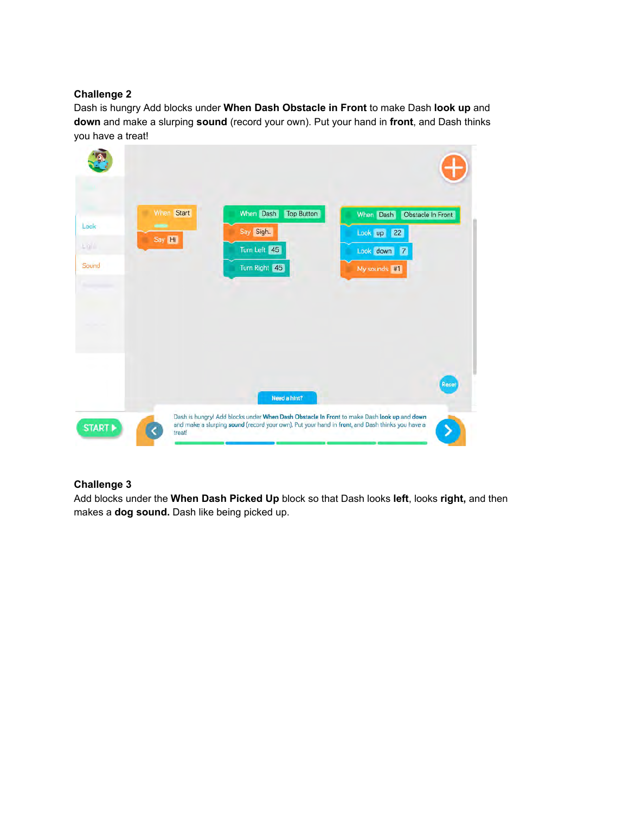### **Challenge 2**

Dash is hungry Add blocks under **When Dash Obstacle in Front** to make Dash **look up** and **down** and make a slurping **sound** (record your own). Put your hand in **front**, and Dash thinks you have a treat!

| Look<br>上百百<br>Sound  | When Start<br>٠<br>-<br>Say Hi | When Dash<br><b>Top Button</b><br>Say Sigh<br>Turn Left 45<br>Turn Right 45                                                                                                                   | When Dash<br>Obstacle In Front<br>Look up 22<br>Look down 7<br>My sounds #1 |
|-----------------------|--------------------------------|-----------------------------------------------------------------------------------------------------------------------------------------------------------------------------------------------|-----------------------------------------------------------------------------|
|                       |                                | Need a hint?                                                                                                                                                                                  | Reset                                                                       |
| START <sup>&gt;</sup> | treat!                         | Dash is hungry! Add blocks under When Dash Obstacle In Front to make Dash look up and down<br>and make a slurping sound (record your own). Put your hand in front, and Dash thinks you have a |                                                                             |

### **Challenge 3**

Add blocks under the **When Dash Picked Up** block so that Dash looks **left**, looks **right,** and then makes a **dog sound.** Dash like being picked up.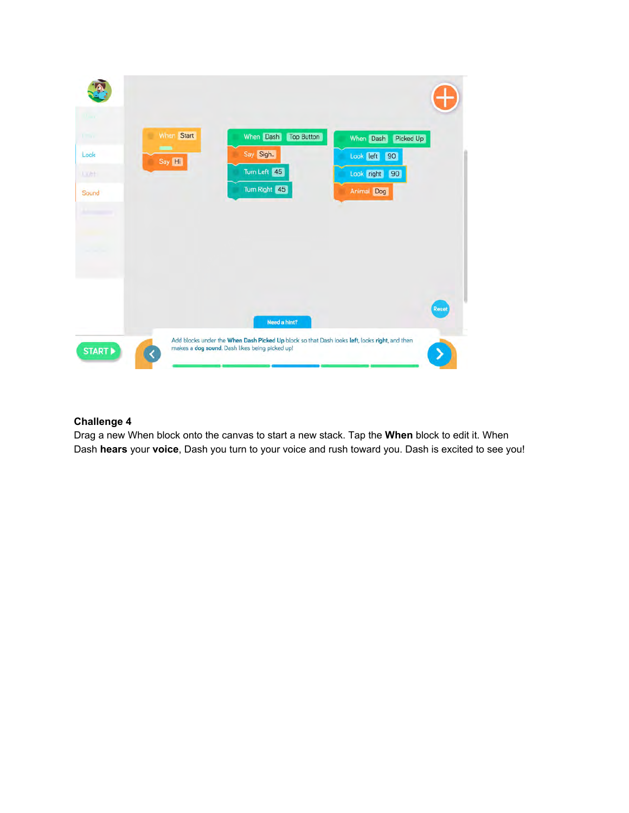

### **Challenge 4**

Drag a new When block onto the canvas to start a new stack. Tap the **When** block to edit it. When Dash **hears** your **voice**, Dash you turn to your voice and rush toward you. Dash is excited to see you!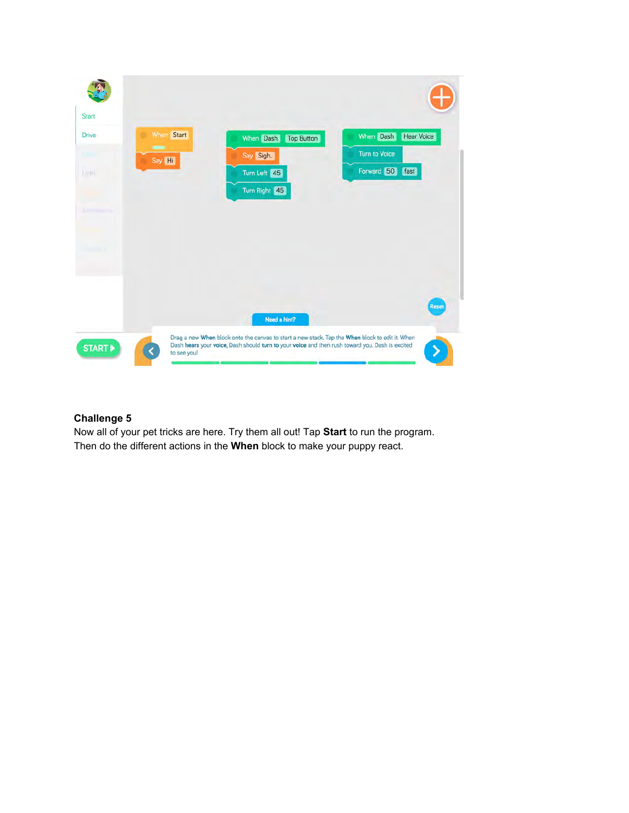

### **Challenge 5**

Now all of your pet tricks are here. Try them all out! Tap **Start** to run the program. Then do the different actions in the **When** block to make your puppy react.